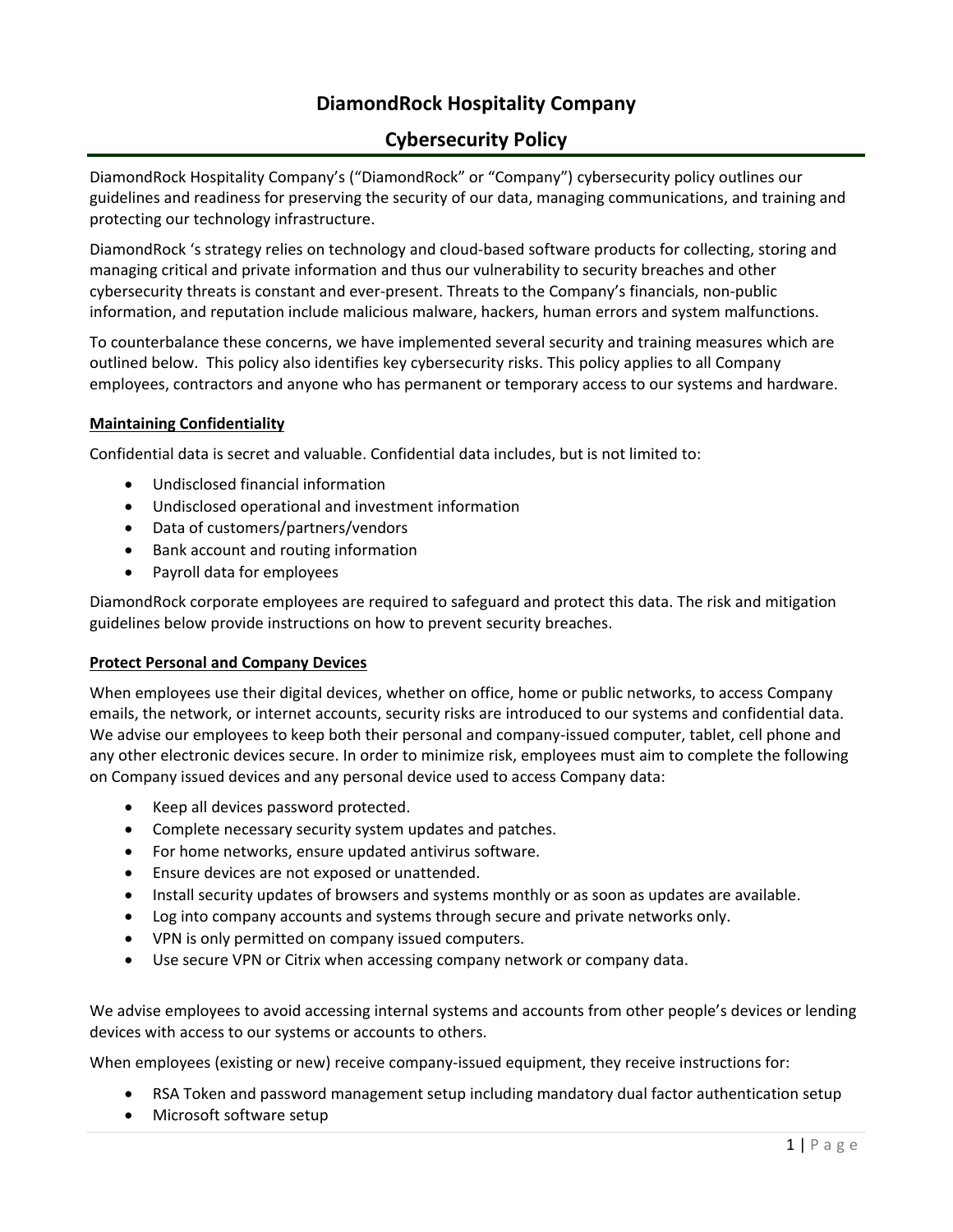# **DiamondRock Hospitality Company**

# **Cybersecurity Policy**

DiamondRock Hospitality Company's ("DiamondRock" or "Company") cybersecurity policy outlines our guidelines and readiness for preserving the security of our data, managing communications, and training and protecting our technology infrastructure.

DiamondRock 's strategy relies on technology and cloud‐based software products for collecting, storing and managing critical and private information and thus our vulnerability to security breaches and other cybersecurity threats is constant and ever‐present. Threats to the Company's financials, non‐public information, and reputation include malicious malware, hackers, human errors and system malfunctions.

To counterbalance these concerns, we have implemented several security and training measures which are outlined below. This policy also identifies key cybersecurity risks. This policy applies to all Company employees, contractors and anyone who has permanent or temporary access to our systems and hardware.

# **Maintaining Confidentiality**

Confidential data is secret and valuable. Confidential data includes, but is not limited to:

- Undisclosed financial information
- Undisclosed operational and investment information
- Data of customers/partners/vendors
- Bank account and routing information
- Payroll data for employees

DiamondRock corporate employees are required to safeguard and protect this data. The risk and mitigation guidelines below provide instructions on how to prevent security breaches.

# **Protect Personal and Company Devices**

When employees use their digital devices, whether on office, home or public networks, to access Company emails, the network, or internet accounts, security risks are introduced to our systems and confidential data. We advise our employees to keep both their personal and company-issued computer, tablet, cell phone and any other electronic devices secure. In order to minimize risk, employees must aim to complete the following on Company issued devices and any personal device used to access Company data:

- Keep all devices password protected.
- Complete necessary security system updates and patches.
- For home networks, ensure updated antivirus software.
- Ensure devices are not exposed or unattended.
- Install security updates of browsers and systems monthly or as soon as updates are available.
- Log into company accounts and systems through secure and private networks only.
- VPN is only permitted on company issued computers.
- Use secure VPN or Citrix when accessing company network or company data.

We advise employees to avoid accessing internal systems and accounts from other people's devices or lending devices with access to our systems or accounts to others.

When employees (existing or new) receive company-issued equipment, they receive instructions for:

- RSA Token and password management setup including mandatory dual factor authentication setup
- Microsoft software setup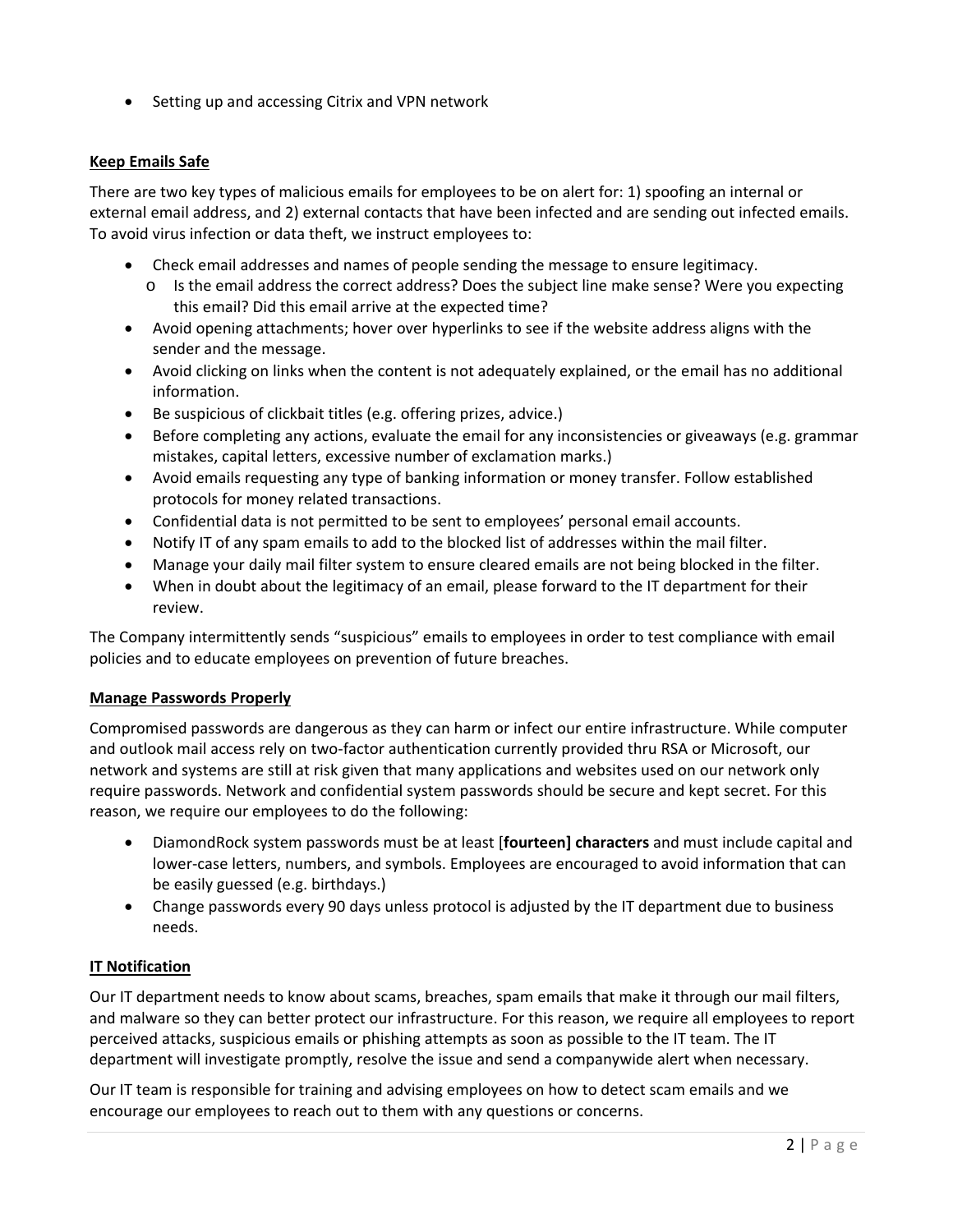Setting up and accessing Citrix and VPN network

# **Keep Emails Safe**

There are two key types of malicious emails for employees to be on alert for: 1) spoofing an internal or external email address, and 2) external contacts that have been infected and are sending out infected emails. To avoid virus infection or data theft, we instruct employees to:

- Check email addresses and names of people sending the message to ensure legitimacy.
	- o Is the email address the correct address? Does the subject line make sense? Were you expecting this email? Did this email arrive at the expected time?
- Avoid opening attachments; hover over hyperlinks to see if the website address aligns with the sender and the message.
- Avoid clicking on links when the content is not adequately explained, or the email has no additional information.
- Be suspicious of clickbait titles (e.g. offering prizes, advice.)
- Before completing any actions, evaluate the email for any inconsistencies or giveaways (e.g. grammar mistakes, capital letters, excessive number of exclamation marks.)
- Avoid emails requesting any type of banking information or money transfer. Follow established protocols for money related transactions.
- Confidential data is not permitted to be sent to employees' personal email accounts.
- Notify IT of any spam emails to add to the blocked list of addresses within the mail filter.
- Manage your daily mail filter system to ensure cleared emails are not being blocked in the filter.
- When in doubt about the legitimacy of an email, please forward to the IT department for their review.

The Company intermittently sends "suspicious" emails to employees in order to test compliance with email policies and to educate employees on prevention of future breaches.

# **Manage Passwords Properly**

Compromised passwords are dangerous as they can harm or infect our entire infrastructure. While computer and outlook mail access rely on two‐factor authentication currently provided thru RSA or Microsoft, our network and systems are still at risk given that many applications and websites used on our network only require passwords. Network and confidential system passwords should be secure and kept secret. For this reason, we require our employees to do the following:

- DiamondRock system passwords must be at least [**fourteen] characters** and must include capital and lower‐case letters, numbers, and symbols. Employees are encouraged to avoid information that can be easily guessed (e.g. birthdays.)
- Change passwords every 90 days unless protocol is adjusted by the IT department due to business needs.

# **IT Notification**

Our IT department needs to know about scams, breaches, spam emails that make it through our mail filters, and malware so they can better protect our infrastructure. For this reason, we require all employees to report perceived attacks, suspicious emails or phishing attempts as soon as possible to the IT team. The IT department will investigate promptly, resolve the issue and send a companywide alert when necessary.

Our IT team is responsible for training and advising employees on how to detect scam emails and we encourage our employees to reach out to them with any questions or concerns.